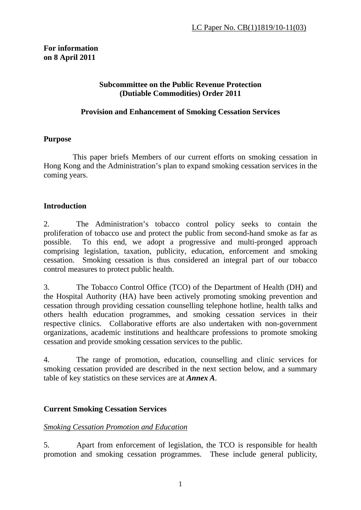## **For information on 8 April 2011**

### **Subcommittee on the Public Revenue Protection (Dutiable Commodities) Order 2011**

## **Provision and Enhancement of Smoking Cessation Services**

## **Purpose**

This paper briefs Members of our current efforts on smoking cessation in Hong Kong and the Administration's plan to expand smoking cessation services in the coming years.

# **Introduction**

2. The Administration's tobacco control policy seeks to contain the proliferation of tobacco use and protect the public from second-hand smoke as far as possible. To this end, we adopt a progressive and multi-pronged approach comprising legislation, taxation, publicity, education, enforcement and smoking cessation. Smoking cessation is thus considered an integral part of our tobacco control measures to protect public health.

3. The Tobacco Control Office (TCO) of the Department of Health (DH) and the Hospital Authority (HA) have been actively promoting smoking prevention and cessation through providing cessation counselling telephone hotline, health talks and others health education programmes, and smoking cessation services in their respective clinics. Collaborative efforts are also undertaken with non-government organizations, academic institutions and healthcare professions to promote smoking cessation and provide smoking cessation services to the public.

4. The range of promotion, education, counselling and clinic services for smoking cessation provided are described in the next section below, and a summary table of key statistics on these services are at *Annex A*.

# **Current Smoking Cessation Services**

# *Smoking Cessation Promotion and Education*

5. Apart from enforcement of legislation, the TCO is responsible for health promotion and smoking cessation programmes. These include general publicity,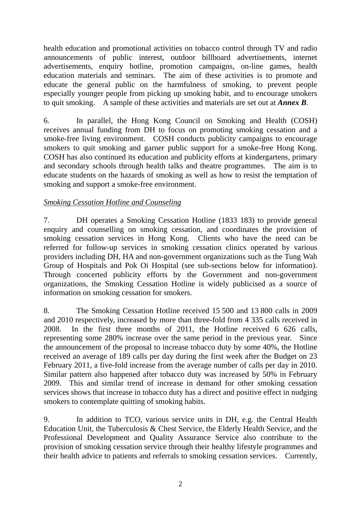health education and promotional activities on tobacco control through TV and radio announcements of public interest, outdoor billboard advertisements, internet advertisements, enquiry hotline, promotion campaigns, on-line games, health education materials and seminars. The aim of these activities is to promote and educate the general public on the harmfulness of smoking, to prevent people especially younger people from picking up smoking habit, and to encourage smokers to quit smoking. A sample of these activities and materials are set out at *Annex B*.

6. In parallel, the Hong Kong Council on Smoking and Health (COSH) receives annual funding from DH to focus on promoting smoking cessation and a smoke-free living environment. COSH conducts publicity campaigns to encourage smokers to quit smoking and garner public support for a smoke-free Hong Kong. COSH has also continued its education and publicity efforts at kindergartens, primary and secondary schools through health talks and theatre programmes. The aim is to educate students on the hazards of smoking as well as how to resist the temptation of smoking and support a smoke-free environment.

## *Smoking Cessation Hotline and Counseling*

7. DH operates a Smoking Cessation Hotline (1833 183) to provide general enquiry and counselling on smoking cessation, and coordinates the provision of smoking cessation services in Hong Kong. Clients who have the need can be referred for follow-up services in smoking cessation clinics operated by various providers including DH, HA and non-government organizations such as the Tung Wah Group of Hospitals and Pok Oi Hospital (see sub-sections below for information). Through concerted publicity efforts by the Government and non-government organizations, the Smoking Cessation Hotline is widely publicised as a source of information on smoking cessation for smokers.

8. The Smoking Cessation Hotline received 15 500 and 13 800 calls in 2009 and 2010 respectively, increased by more than three-fold from 4 335 calls received in 2008. In the first three months of 2011, the Hotline received 6 626 calls, representing some 280% increase over the same period in the previous year. Since the announcement of the proposal to increase tobacco duty by some 40%, the Hotline received an average of 189 calls per day during the first week after the Budget on 23 February 2011, a five-fold increase from the average number of calls per day in 2010. Similar pattern also happened after tobacco duty was increased by 50% in February 2009. This and similar trend of increase in demand for other smoking cessation services shows that increase in tobacco duty has a direct and positive effect in nudging smokers to contemplate quitting of smoking habits.

9. In addition to TCO, various service units in DH, e.g. the Central Health Education Unit, the Tuberculosis & Chest Service, the Elderly Health Service, and the Professional Development and Quality Assurance Service also contribute to the provision of smoking cessation service through their healthy lifestyle programmes and their health advice to patients and referrals to smoking cessation services. Currently,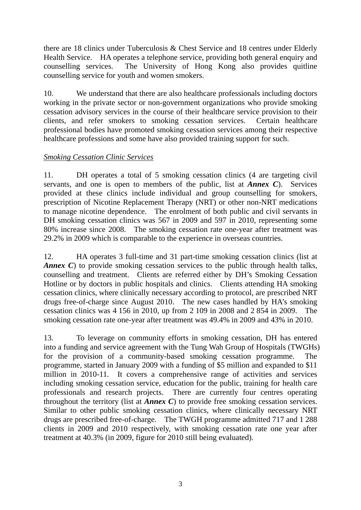there are 18 clinics under Tuberculosis & Chest Service and 18 centres under Elderly Health Service. HA operates a telephone service, providing both general enquiry and counselling services. The University of Hong Kong also provides quitline counselling service for youth and women smokers.

10. We understand that there are also healthcare professionals including doctors working in the private sector or non-government organizations who provide smoking cessation advisory services in the course of their healthcare service provision to their clients, and refer smokers to smoking cessation services. Certain healthcare professional bodies have promoted smoking cessation services among their respective healthcare professions and some have also provided training support for such.

## *Smoking Cessation Clinic Services*

11. DH operates a total of 5 smoking cessation clinics (4 are targeting civil servants, and one is open to members of the public, list at *Annex C*). Services provided at these clinics include individual and group counselling for smokers, prescription of Nicotine Replacement Therapy (NRT) or other non-NRT medications to manage nicotine dependence. The enrolment of both public and civil servants in DH smoking cessation clinics was 567 in 2009 and 597 in 2010, representing some 80% increase since 2008. The smoking cessation rate one-year after treatment was 29.2% in 2009 which is comparable to the experience in overseas countries.

12. HA operates 3 full-time and 31 part-time smoking cessation clinics (list at *Annex C*) to provide smoking cessation services to the public through health talks, counselling and treatment. Clients are referred either by DH's Smoking Cessation Hotline or by doctors in public hospitals and clinics. Clients attending HA smoking cessation clinics, where clinically necessary according to protocol, are prescribed NRT drugs free-of-charge since August 2010. The new cases handled by HA's smoking cessation clinics was 4 156 in 2010, up from 2 109 in 2008 and 2 854 in 2009. The smoking cessation rate one-year after treatment was 49.4% in 2009 and 43% in 2010.

13. To leverage on community efforts in smoking cessation, DH has entered into a funding and service agreement with the Tung Wah Group of Hospitals (TWGHs) for the provision of a community-based smoking cessation programme. The programme, started in January 2009 with a funding of \$5 million and expanded to \$11 million in 2010-11. It covers a comprehensive range of activities and services including smoking cessation service, education for the public, training for health care professionals and research projects. There are currently four centres operating throughout the territory (list at *Annex C*) to provide free smoking cessation services. Similar to other public smoking cessation clinics, where clinically necessary NRT drugs are prescribed free-of-charge. The TWGH programme admitted 717 and 1 288 clients in 2009 and 2010 respectively, with smoking cessation rate one year after treatment at 40.3% (in 2009, figure for 2010 still being evaluated).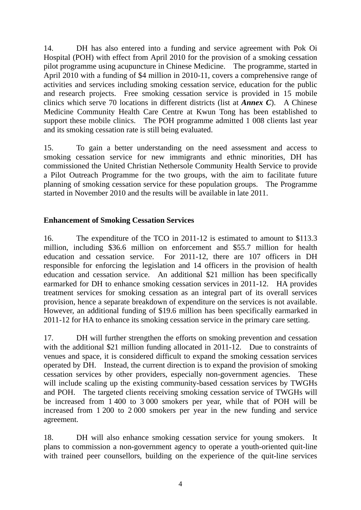14. DH has also entered into a funding and service agreement with Pok Oi Hospital (POH) with effect from April 2010 for the provision of a smoking cessation pilot programme using acupuncture in Chinese Medicine. The programme, started in April 2010 with a funding of \$4 million in 2010-11, covers a comprehensive range of activities and services including smoking cessation service, education for the public and research projects. Free smoking cessation service is provided in 15 mobile clinics which serve 70 locations in different districts (list at *Annex C*). A Chinese Medicine Community Health Care Centre at Kwun Tong has been established to support these mobile clinics. The POH programme admitted 1 008 clients last year and its smoking cessation rate is still being evaluated.

15. To gain a better understanding on the need assessment and access to smoking cessation service for new immigrants and ethnic minorities, DH has commissioned the United Christian Nethersole Community Health Service to provide a Pilot Outreach Programme for the two groups, with the aim to facilitate future planning of smoking cessation service for these population groups. The Programme started in November 2010 and the results will be available in late 2011.

#### **Enhancement of Smoking Cessation Services**

16. The expenditure of the TCO in 2011-12 is estimated to amount to \$113.3 million, including \$36.6 million on enforcement and \$55.7 million for health education and cessation service. For 2011-12, there are 107 officers in DH responsible for enforcing the legislation and 14 officers in the provision of health education and cessation service. An additional \$21 million has been specifically earmarked for DH to enhance smoking cessation services in 2011-12. HA provides treatment services for smoking cessation as an integral part of its overall services provision, hence a separate breakdown of expenditure on the services is not available. However, an additional funding of \$19.6 million has been specifically earmarked in 2011-12 for HA to enhance its smoking cessation service in the primary care setting.

17. DH will further strengthen the efforts on smoking prevention and cessation with the additional \$21 million funding allocated in 2011-12. Due to constraints of venues and space, it is considered difficult to expand the smoking cessation services operated by DH. Instead, the current direction is to expand the provision of smoking cessation services by other providers, especially non-government agencies. These will include scaling up the existing community-based cessation services by TWGHs and POH. The targeted clients receiving smoking cessation service of TWGHs will be increased from 1 400 to 3 000 smokers per year, while that of POH will be increased from 1 200 to 2 000 smokers per year in the new funding and service agreement.

18. DH will also enhance smoking cessation service for young smokers. It plans to commission a non-government agency to operate a youth-oriented quit-line with trained peer counsellors, building on the experience of the quit-line services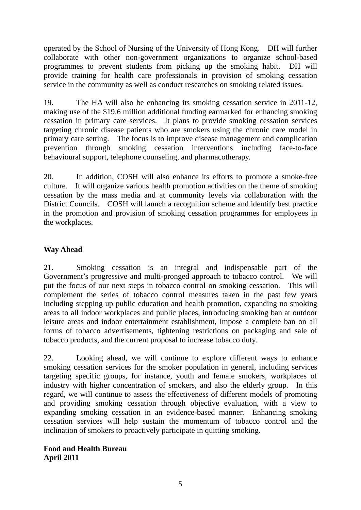operated by the School of Nursing of the University of Hong Kong. DH will further collaborate with other non-government organizations to organize school-based programmes to prevent students from picking up the smoking habit. DH will provide training for health care professionals in provision of smoking cessation service in the community as well as conduct researches on smoking related issues.

19. The HA will also be enhancing its smoking cessation service in 2011-12, making use of the \$19.6 million additional funding earmarked for enhancing smoking cessation in primary care services. It plans to provide smoking cessation services targeting chronic disease patients who are smokers using the chronic care model in primary care setting. The focus is to improve disease management and complication prevention through smoking cessation interventions including face-to-face behavioural support, telephone counseling, and pharmacotherapy.

20. In addition, COSH will also enhance its efforts to promote a smoke-free culture. It will organize various health promotion activities on the theme of smoking cessation by the mass media and at community levels via collaboration with the District Councils. COSH will launch a recognition scheme and identify best practice in the promotion and provision of smoking cessation programmes for employees in the workplaces.

## **Way Ahead**

21. Smoking cessation is an integral and indispensable part of the Government's progressive and multi-pronged approach to tobacco control. We will put the focus of our next steps in tobacco control on smoking cessation. This will complement the series of tobacco control measures taken in the past few years including stepping up public education and health promotion, expanding no smoking areas to all indoor workplaces and public places, introducing smoking ban at outdoor leisure areas and indoor entertainment establishment, impose a complete ban on all forms of tobacco advertisements, tightening restrictions on packaging and sale of tobacco products, and the current proposal to increase tobacco duty.

22. Looking ahead, we will continue to explore different ways to enhance smoking cessation services for the smoker population in general, including services targeting specific groups, for instance, youth and female smokers, workplaces of industry with higher concentration of smokers, and also the elderly group. In this regard, we will continue to assess the effectiveness of different models of promoting and providing smoking cessation through objective evaluation, with a view to expanding smoking cessation in an evidence-based manner. Enhancing smoking cessation services will help sustain the momentum of tobacco control and the inclination of smokers to proactively participate in quitting smoking.

#### **Food and Health Bureau April 2011**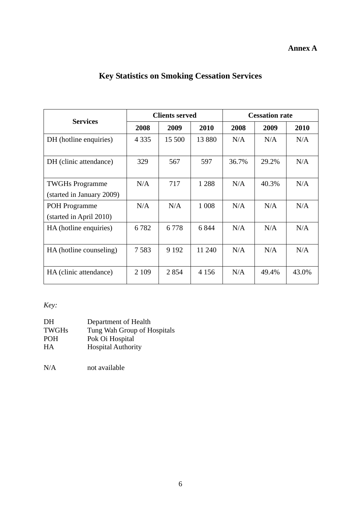## **Annex A**

# **Key Statistics on Smoking Cessation Services**

| <b>Services</b>           | <b>Clients served</b> |         |         | <b>Cessation rate</b> |       |       |
|---------------------------|-----------------------|---------|---------|-----------------------|-------|-------|
|                           | 2008                  | 2009    | 2010    | 2008                  | 2009  | 2010  |
| DH (hotline enquiries)    | 4 3 3 5               | 15 500  | 13 880  | N/A                   | N/A   | N/A   |
| DH (clinic attendance)    | 329                   | 567     | 597     | 36.7%                 | 29.2% | N/A   |
| <b>TWGHs Programme</b>    | N/A                   | 717     | 1 2 8 8 | N/A                   | 40.3% | N/A   |
| (started in January 2009) |                       |         |         |                       |       |       |
| <b>POH</b> Programme      | N/A                   | N/A     | 1 0 0 8 | N/A                   | N/A   | N/A   |
| (started in April 2010)   |                       |         |         |                       |       |       |
| HA (hotline enquiries)    | 6782                  | 6778    | 6 8 4 4 | N/A                   | N/A   | N/A   |
| HA (hotline counseling)   | 7583                  | 9 1 9 2 | 11 240  | N/A                   | N/A   | N/A   |
| HA (clinic attendance)    | 2 1 0 9               | 2854    | 4 1 5 6 | N/A                   | 49.4% | 43.0% |

# *Key:*

| Tung Wah Group of Hospitals |
|-----------------------------|
|                             |
|                             |
|                             |

N/A not available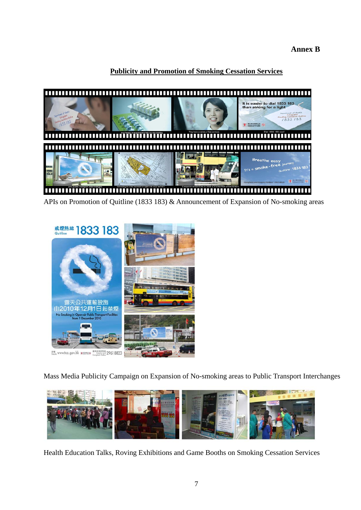**Annex B** 

## **Publicity and Promotion of Smoking Cessation Services**



APIs on Promotion of Quitline (1833 183) & Announcement of Expansion of No-smoking areas



Mass Media Publicity Campaign on Expansion of No-smoking areas to Public Transport Interchanges



Health Education Talks, Roving Exhibitions and Game Booths on Smoking Cessation Services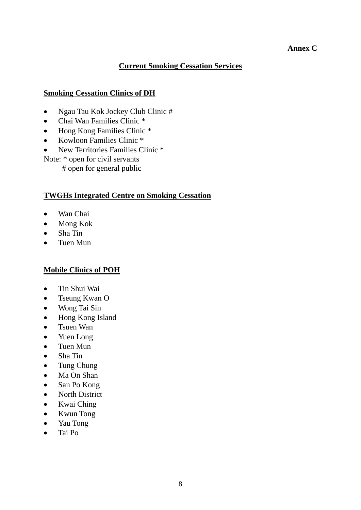#### **Annex C**

#### **Current Smoking Cessation Services**

#### **Smoking Cessation Clinics of DH**

- Ngau Tau Kok Jockey Club Clinic #
- Chai Wan Families Clinic \*
- Hong Kong Families Clinic \*
- Kowloon Families Clinic \*
- New Territories Families Clinic \*

Note: \* open for civil servants # open for general public

#### **TWGHs Integrated Centre on Smoking Cessation**

- Wan Chai
- Mong Kok
- Sha Tin
- Tuen Mun

#### **Mobile Clinics of POH**

- Tin Shui Wai
- Tseung Kwan O
- Wong Tai Sin
- Hong Kong Island
- Tsuen Wan
- Yuen Long
- Tuen Mun
- Sha Tin
- Tung Chung
- Ma On Shan
- San Po Kong
- North District
- Kwai Ching
- Kwun Tong
- Yau Tong
- Tai Po